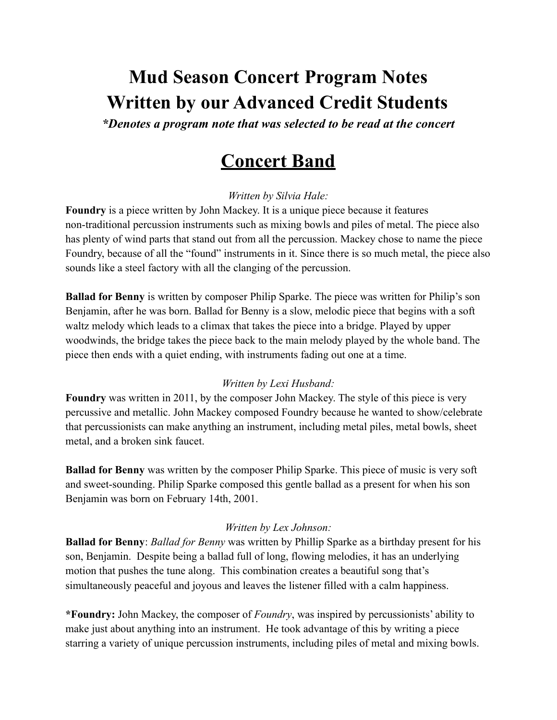# **Mud Season Concert Program Notes Written by our Advanced Credit Students**

*\*Denotes a program note that was selected to be read at the concert*

# **Concert Band**

*Written by Silvia Hale:*

**Foundry** is a piece written by John Mackey. It is a unique piece because it features non-traditional percussion instruments such as mixing bowls and piles of metal. The piece also has plenty of wind parts that stand out from all the percussion. Mackey chose to name the piece Foundry, because of all the "found" instruments in it. Since there is so much metal, the piece also sounds like a steel factory with all the clanging of the percussion.

**Ballad for Benny** is written by composer Philip Sparke. The piece was written for Philip's son Benjamin, after he was born. Ballad for Benny is a slow, melodic piece that begins with a soft waltz melody which leads to a climax that takes the piece into a bridge. Played by upper woodwinds, the bridge takes the piece back to the main melody played by the whole band. The piece then ends with a quiet ending, with instruments fading out one at a time.

### *Written by Lexi Husband:*

**Foundry** was written in 2011, by the composer John Mackey. The style of this piece is very percussive and metallic. John Mackey composed Foundry because he wanted to show/celebrate that percussionists can make anything an instrument, including metal piles, metal bowls, sheet metal, and a broken sink faucet.

**Ballad for Benny** was written by the composer Philip Sparke. This piece of music is very soft and sweet-sounding. Philip Sparke composed this gentle ballad as a present for when his son Benjamin was born on February 14th, 2001.

#### *Written by Lex Johnson:*

**Ballad for Benny**: *Ballad for Benny* was written by Phillip Sparke as a birthday present for his son, Benjamin. Despite being a ballad full of long, flowing melodies, it has an underlying motion that pushes the tune along. This combination creates a beautiful song that's simultaneously peaceful and joyous and leaves the listener filled with a calm happiness.

**\*Foundry:** John Mackey, the composer of *Foundry*, was inspired by percussionists' ability to make just about anything into an instrument. He took advantage of this by writing a piece starring a variety of unique percussion instruments, including piles of metal and mixing bowls.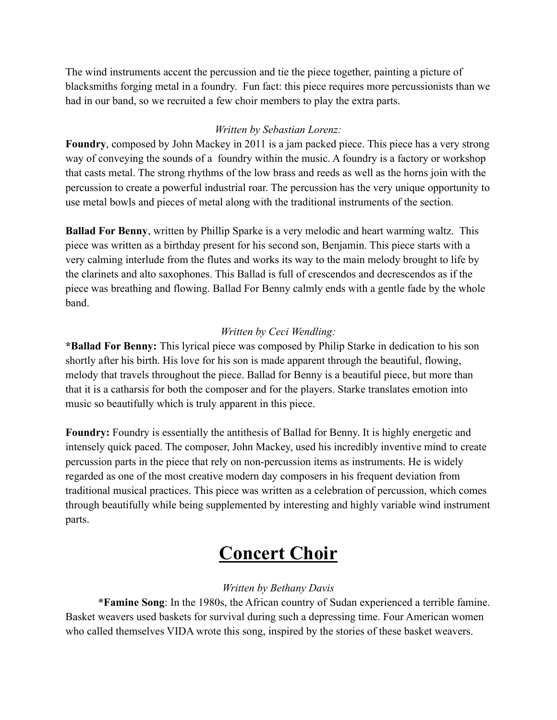The wind instruments accent the percussion and tie the piece together, painting a picture of blacksmiths forging metal in a foundry. Fun fact: this piece requires more percussionists than we had in our band, so we recruited a few choir members to play the extra parts.

### *Written by Sebastian Lorenz:*

**Foundry**, composed by John Mackey in 2011 is a jam packed piece. This piece has a very strong way of conveying the sounds of a foundry within the music. A foundry is a factory or workshop that casts metal. The strong rhythms of the low brass and reeds as well as the horns join with the percussion to create a powerful industrial roar. The percussion has the very unique opportunity to use metal bowls and pieces of metal along with the traditional instruments of the section.

**Ballad For Benny**, written by Phillip Sparke is a very melodic and heart warming waltz. This piece was written as a birthday present for his second son, Benjamin. This piece starts with a very calming interlude from the flutes and works its way to the main melody brought to life by the clarinets and alto saxophones. This Ballad is full of crescendos and decrescendos as if the piece was breathing and flowing. Ballad For Benny calmly ends with a gentle fade by the whole band.

#### *Written by Ceci Wendling:*

**\*Ballad For Benny:** This lyrical piece was composed by Philip Starke in dedication to his son shortly after his birth. His love for his son is made apparent through the beautiful, flowing, melody that travels throughout the piece. Ballad for Benny is a beautiful piece, but more than that it is a catharsis for both the composer and for the players. Starke translates emotion into music so beautifully which is truly apparent in this piece.

**Foundry:** Foundry is essentially the antithesis of Ballad for Benny. It is highly energetic and intensely quick paced. The composer, John Mackey, used his incredibly inventive mind to create percussion parts in the piece that rely on non-percussion items as instruments. He is widely regarded as one of the most creative modern day composers in his frequent deviation from traditional musical practices. This piece was written as a celebration of percussion, which comes through beautifully while being supplemented by interesting and highly variable wind instrument parts.

# **Concert Choir**

## *Written by Bethany Davis*

**\*Famine Song**: In the 1980s, the African country of Sudan experienced a terrible famine. Basket weavers used baskets for survival during such a depressing time. Four American women who called themselves VIDA wrote this song, inspired by the stories of these basket weavers.